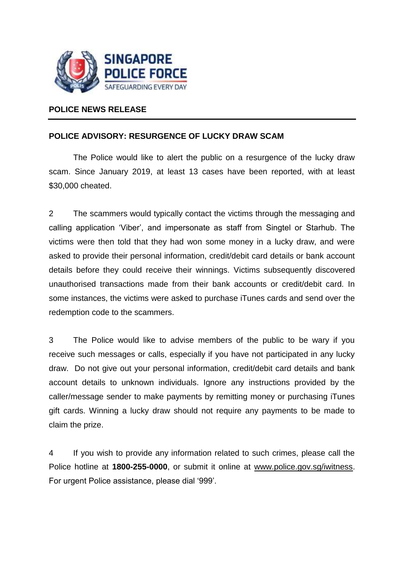

## **POLICE NEWS RELEASE**

## **POLICE ADVISORY: RESURGENCE OF LUCKY DRAW SCAM**

The Police would like to alert the public on a resurgence of the lucky draw scam. Since January 2019, at least 13 cases have been reported, with at least \$30,000 cheated.

2 The scammers would typically contact the victims through the messaging and calling application 'Viber', and impersonate as staff from Singtel or Starhub. The victims were then told that they had won some money in a lucky draw, and were asked to provide their personal information, credit/debit card details or bank account details before they could receive their winnings. Victims subsequently discovered unauthorised transactions made from their bank accounts or credit/debit card. In some instances, the victims were asked to purchase iTunes cards and send over the redemption code to the scammers.

3 The Police would like to advise members of the public to be wary if you receive such messages or calls, especially if you have not participated in any lucky draw. Do not give out your personal information, credit/debit card details and bank account details to unknown individuals. Ignore any instructions provided by the caller/message sender to make payments by remitting money or purchasing iTunes gift cards. Winning a lucky draw should not require any payments to be made to claim the prize.

4 If you wish to provide any information related to such crimes, please call the Police hotline at **1800-255-0000**, or submit it online at [www.police.gov.sg/iwitness.](http://www.police.gov.sg/iwitness) For urgent Police assistance, please dial '999'.